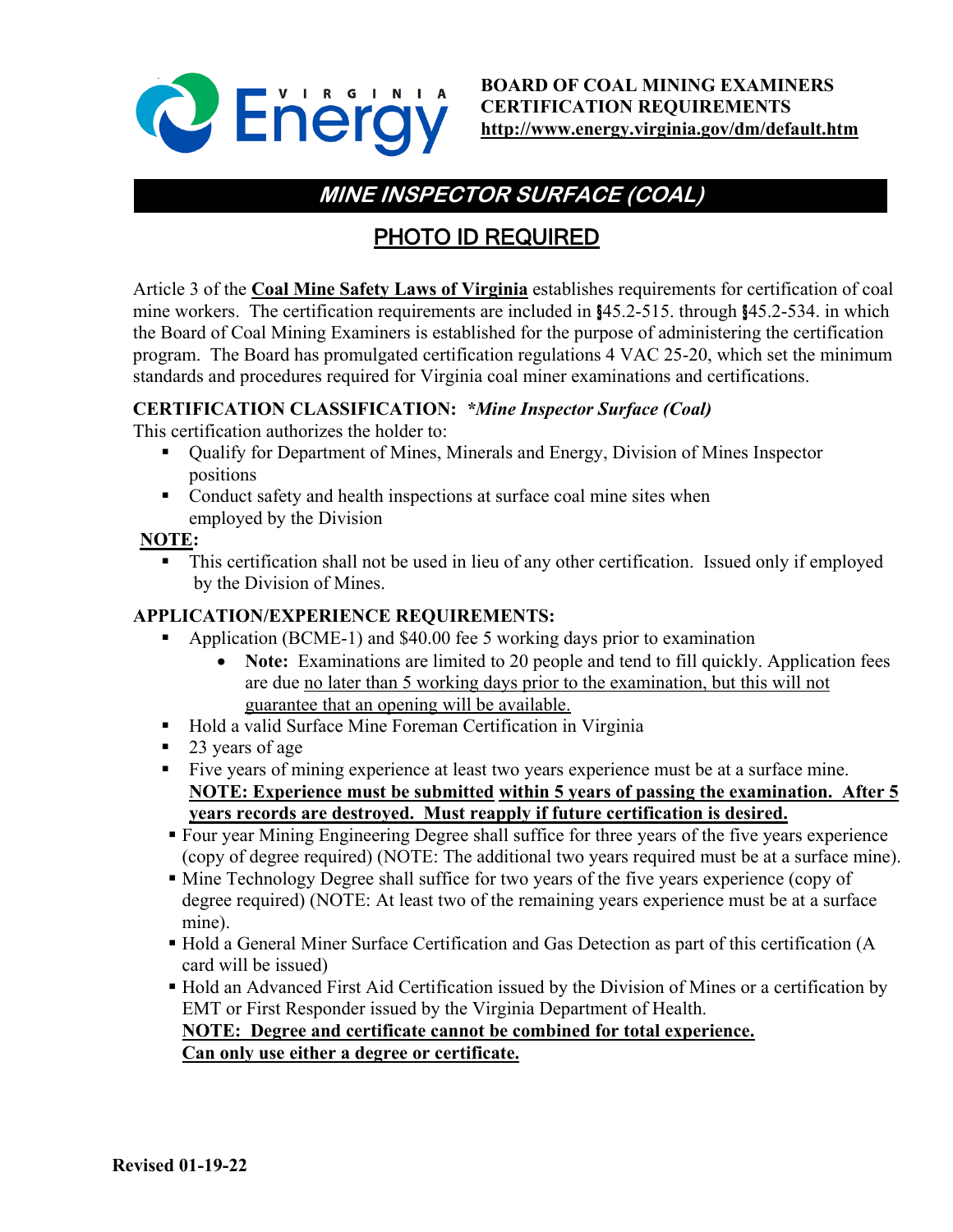

# **MINE INSPECTOR SURFACE (COAL)**

# PHOTO ID REQUIRED

Article 3 of the **Coal Mine Safety Laws of Virginia** establishes requirements for certification of coal mine workers. The certification requirements are included in §45.2-515. through §45.2-534. in which the Board of Coal Mining Examiners is established for the purpose of administering the certification program. The Board has promulgated certification regulations 4 VAC 25-20, which set the minimum standards and procedures required for Virginia coal miner examinations and certifications.

#### **CERTIFICATION CLASSIFICATION:** *\*Mine Inspector Surface (Coal)*

This certification authorizes the holder to:

- Qualify for Department of Mines, Minerals and Energy, Division of Mines Inspector positions
- Conduct safety and health inspections at surface coal mine sites when employed by the Division

#### **NOTE:**

 This certification shall not be used in lieu of any other certification. Issued only if employed by the Division of Mines.

#### **APPLICATION/EXPERIENCE REQUIREMENTS:**

- Application (BCME-1) and \$40.00 fee 5 working days prior to examination
	- **Note:** Examinations are limited to 20 people and tend to fill quickly. Application fees are due no later than 5 working days prior to the examination, but this will not guarantee that an opening will be available.
- Hold a valid Surface Mine Foreman Certification in Virginia
- 23 years of age
- Five years of mining experience at least two years experience must be at a surface mine. **NOTE: Experience must be submitted within 5 years of passing the examination. After 5 years records are destroyed. Must reapply if future certification is desired.**
- Four year Mining Engineering Degree shall suffice for three years of the five years experience (copy of degree required) (NOTE: The additional two years required must be at a surface mine).
- Mine Technology Degree shall suffice for two years of the five years experience (copy of degree required) (NOTE: At least two of the remaining years experience must be at a surface mine).
- Hold a General Miner Surface Certification and Gas Detection as part of this certification (A card will be issued)
- Hold an Advanced First Aid Certification issued by the Division of Mines or a certification by EMT or First Responder issued by the Virginia Department of Health. **NOTE: Degree and certificate cannot be combined for total experience.**

**Can only use either a degree or certificate.**